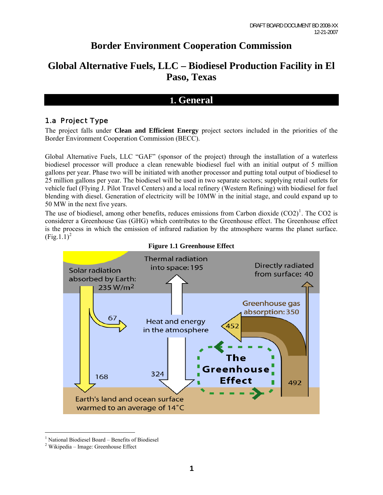# **Border Environment Cooperation Commission**

# **Global Alternative Fuels, LLC – Biodiesel Production Facility in El Paso, Texas**

## **1. General**

## 1.a Project Type

The project falls under **Clean and Efficient Energy** project sectors included in the priorities of the Border Environment Cooperation Commission (BECC).

Global Alternative Fuels, LLC "GAF" (sponsor of the project) through the installation of a waterless biodiesel processor will produce a clean renewable biodiesel fuel with an initial output of 5 million gallons per year. Phase two will be initiated with another processor and putting total output of biodiesel to 25 million gallons per year. The biodiesel will be used in two separate sectors; supplying retail outlets for vehicle fuel (Flying J. Pilot Travel Centers) and a local refinery (Western Refining) with biodiesel for fuel blending with diesel. Generation of electricity will be 10MW in the initial stage, and could expand up to 50 MW in the next five years.

The use of biodiesel, among other benefits, reduces emissions from Carbon dioxide  $(CO2)^{1}$  $(CO2)^{1}$  $(CO2)^{1}$ . The CO2 is considerer a Greenhouse Gas (GHG) which contributes to the Greenhouse effect. The Greenhouse effect is the process in which the emission of infrared radiation by the atmosphere warms the planet surface.  $(Fig.1.1)^2$  $(Fig.1.1)^2$ 





<span id="page-0-1"></span><span id="page-0-0"></span><sup>&</sup>lt;sup>1</sup> National Biodiesel Board – Benefits of Biodiesel

<sup>&</sup>lt;sup>2</sup> Wikipedia – Image: Greenhouse Effect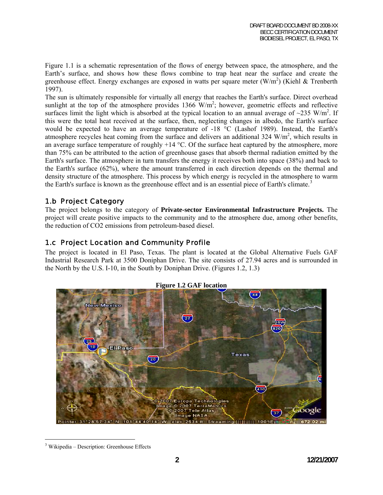Figure 1.1 is a schematic representation of the flows of energy between space, the atmosphere, and the Earth's surface, and shows how these flows combine to trap heat near the surface and create the greenhouse effect. Energy exchanges are exposed in watts per square meter  $(W/m<sup>2</sup>)$  (Kiehl & Trenberth 1997).

The sun is ultimately responsible for virtually all energy that reaches the Earth's surface. Direct overhead sunlight at the top of the atmosphere provides  $1366$  W/m<sup>2</sup>; however, geometric effects and reflective surfaces limit the light which is absorbed at the typical location to an annual average of  $\sim$ 235 W/m<sup>2</sup>. If this were the total heat received at the surface, then, neglecting changes in albedo, the Earth's surface would be expected to have an average temperature of -18 °C (Lashof 1989). Instead, the Earth's atmosphere recycles heat coming from the surface and delivers an additional  $324 \text{ W/m}^2$ , which results in an average surface temperature of roughly  $+14$  °C. Of the surface heat captured by the atmosphere, more than 75% can be attributed to the action of greenhouse gases that absorb thermal radiation emitted by the Earth's surface. The atmosphere in turn transfers the energy it receives both into space (38%) and back to the Earth's surface (62%), where the amount transferred in each direction depends on the thermal and density structure of the atmosphere. This process by which energy is recycled in the atmosphere to warm the Earth's surface is known as the greenhouse effect and is an essential piece of Earth's climate.<sup>[3](#page-1-0)</sup>

## 1.b Project Category

The project belongs to the category of **Private-sector Environmental Infrastructure Projects.** The project will create positive impacts to the community and to the atmosphere due, among other benefits, the reduction of CO2 emissions from petroleum-based diesel.

## 1.c Project Location and Community Profile

The project is located in El Paso, Texas. The plant is located at the Global Alternative Fuels GAF Industrial Research Park at 3500 Doniphan Drive. The site consists of 27.94 acres and is surrounded in the North by the U.S. I-10, in the South by Doniphan Drive. (Figures 1.2, 1.3)



#### **Figure 1.2 GAF location**

<span id="page-1-0"></span> $\overline{a}$ <sup>3</sup> Wikipedia – Description: Greenhouse Effects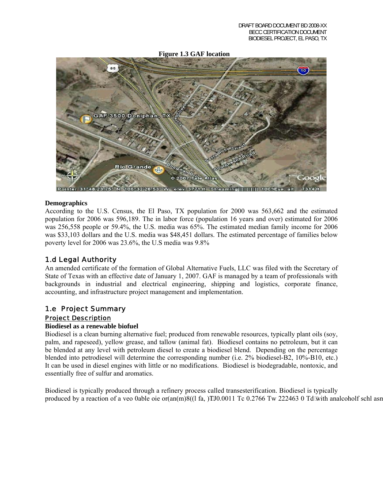#### **Figure 1.3 GAF location**



#### **Demographics**

According to the U.S. Census, the El Paso, TX population for 2000 was 563,662 and the estimated population for 2006 was 596,189. The in labor force (population 16 years and over) estimated for 2006 was 256,558 people or 59.4%, the U.S. media was 65%. The estimated median family income for 2006 was \$33,103 dollars and the U.S. media was \$48,451 dollars. The estimated percentage of families below poverty level for 2006 was 23.6%, the U.S media was 9.8%

## 1.d Legal Authority

An amended certificate of the formation of Global Alternative Fuels, LLC was filed with the Secretary of State of Texas with an effective date of January 1, 2007. GAF is managed by a team of professionals with backgrounds in industrial and electrical engineering, shipping and logistics, corporate finance, accounting, and infrastructure project management and implementation.

#### 1.e Project Summary Project Description

#### **Biodiesel as a renewable biofuel**

Biodiesel is a clean burning alternative fuel; produced from renewable resources, typically plant oils (soy, palm, and rapeseed), yellow grease, and tallow (animal fat). Biodiesel contains no petroleum, but it can be blended at any level with petroleum diesel to create a biodiesel blend. Depending on the percentage blended into petrodiesel will determine the corresponding number (i.e. 2% biodiesel-B2, 10%-B10, etc.) It can be used in diesel engines with little or no modifications. Biodiesel is biodegradable, nontoxic, and essentially free of sulfur and aromatics.

<span id="page-2-0"></span>Biodiesel is typically produced through a refinery process called transesterification. Biodiesel is typically produced by a reaction of a veo 0able oie or(an(m)8((1 fa, )]TJ0.0011 Tc 0.276[6 T](#page-2-0)w 222463 0 Td[with analcoholf schl asn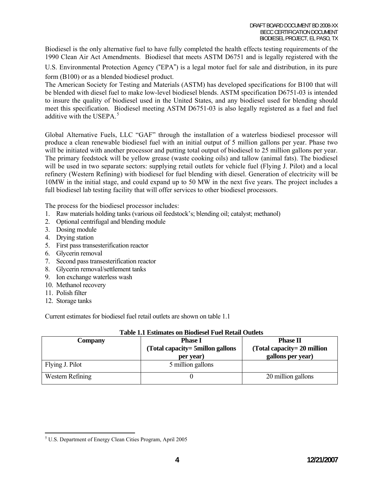Biodiesel is the only alternative fuel to have fully completed the health effects testing requirements of the 1990 Clean Air Act Amendments. Biodiesel that meets ASTM D6751 and is legally registered with the

U.S. Environmental Protection Agency ("EPA") is a legal motor fuel for sale and distribution, in its pure

form (B100) or as a blended biodiesel product.

The American Society for Testing and Materials (ASTM) has developed specifications for B100 that will be blended with diesel fuel to make low-level biodiesel blends. ASTM specification D6751-03 is intended to insure the quality of biodiesel used in the United States, and any biodiesel used for blending should meet this specification. Biodiesel meeting ASTM D6751-03 is also legally registered as a fuel and fuel additive with the USEPA $<sup>5</sup>$  $<sup>5</sup>$  $<sup>5</sup>$ </sup>

Global Alternative Fuels, LLC "GAF" through the installation of a waterless biodiesel processor will produce a clean renewable biodiesel fuel with an initial output of 5 million gallons per year. Phase two will be initiated with another processor and putting total output of biodiesel to 25 million gallons per year. The primary feedstock will be yellow grease (waste cooking oils) and tallow (animal fats). The biodiesel will be used in two separate sectors: supplying retail outlets for vehicle fuel (Flying J. Pilot) and a local refinery (Western Refining) with biodiesel for fuel blending with diesel. Generation of electricity will be 10MW in the initial stage, and could expand up to 50 MW in the next five years. The project includes a full biodiesel lab testing facility that will offer services to other biodiesel processors.

The process for the biodiesel processor includes:

- 1. Raw materials holding tanks (various oil feedstock's; blending oil; catalyst; methanol)
- 2. Optional centrifugal and blending module
- 3. Dosing module
- 4. Drying station
- 5. First pass transesterification reactor
- 6. Glycerin removal
- 7. Second pass transesterification reactor
- 8. Glycerin removal/settlement tanks
- 9. Ion exchange waterless wash
- 10. Methanol recovery
- 11. Polish filter
- 12. Storage tanks

Current estimates for biodiesel fuel retail outlets are shown on table 1.1

| Company          | <b>Phase I</b><br>(Total capacity= 5millon gallons)<br>per year) | <b>Phase II</b><br>(Total capacity= 20 million<br>gallons per year) |
|------------------|------------------------------------------------------------------|---------------------------------------------------------------------|
| Flying J. Pilot  | 5 million gallons                                                |                                                                     |
| Western Refining |                                                                  | 20 million gallons                                                  |

#### **Table 1.1 Estimates on Biodiesel Fuel Retail Outlets**

<span id="page-3-0"></span> $\overline{a}$ <sup>5</sup> U.S. Department of Energy Clean Cities Program, April 2005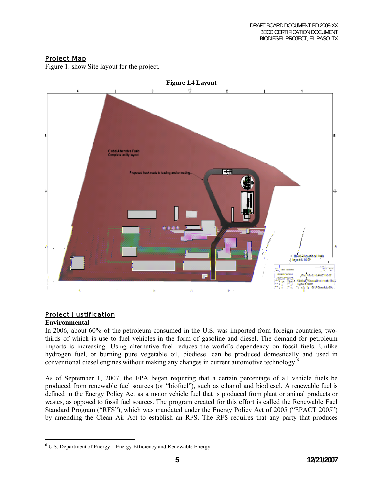## Project Map

Figure 1. show Site layout for the project.



## Project Justification

#### **Environmental**

 $\overline{a}$ 

In 2006, about 60% of the petroleum consumed in the U.S. was imported from foreign countries, twothirds of which is use to fuel vehicles in the form of gasoline and diesel. The demand for petroleum imports is increasing. Using alternative fuel reduces the world's dependency on fossil fuels. Unlike hydrogen fuel, or burning pure vegetable oil, biodiesel can be produced domestically and used in conventional diesel engines without making any changes in current automotive technology.<sup>[6](#page-4-0)</sup>

As of September 1, 2007, the EPA began requiring that a certain percentage of all vehicle fuels be produced from renewable fuel sources (or "biofuel"), such as ethanol and biodiesel. A renewable fuel is defined in the Energy Policy Act as a motor vehicle fuel that is produced from plant or animal products or wastes, as opposed to fossil fuel sources. The program created for this effort is called the Renewable Fuel Standard Program ("RFS"), which was mandated under the Energy Policy Act of 2005 ("EPACT 2005") by amending the Clean Air Act to establish an RFS. The RFS requires that any party that produces

<span id="page-4-0"></span> $6$  U.S. Department of Energy – Energy Efficiency and Renewable Energy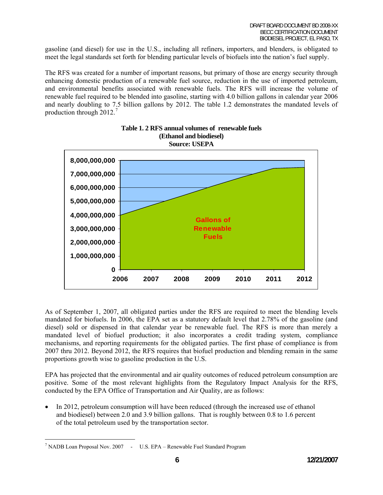gasoline (and diesel) for use in the U.S., including all refiners, importers, and blenders, is obligated to meet the legal standards set forth for blending particular levels of biofuels into the nation's fuel supply.

The RFS was created for a number of important reasons, but primary of those are energy security through enhancing domestic production of a renewable fuel source, reduction in the use of imported petroleum, and environmental benefits associated with renewable fuels. The RFS will increase the volume of renewable fuel required to be blended into gasoline, starting with 4.0 billion gallons in calendar year 2006 and nearly doubling to 7.5 billion gallons by 2012. The table 1.2 demonstrates the mandated levels of production through  $2012.<sup>7</sup>$  $2012.<sup>7</sup>$  $2012.<sup>7</sup>$ 





As of September 1, 2007, all obligated parties under the RFS are required to meet the blending levels mandated for biofuels. In 2006, the EPA set as a statutory default level that 2.78% of the gasoline (and diesel) sold or dispensed in that calendar year be renewable fuel. The RFS is more than merely a mandated level of biofuel production; it also incorporates a credit trading system, compliance mechanisms, and reporting requirements for the obligated parties. The first phase of compliance is from 2007 thru 2012. Beyond 2012, the RFS requires that biofuel production and blending remain in the same proportions growth wise to gasoline production in the U.S.

EPA has projected that the environmental and air quality outcomes of reduced petroleum consumption are positive. Some of the most relevant highlights from the Regulatory Impact Analysis for the RFS, conducted by the EPA Office of Transportation and Air Quality, are as follows:

• In 2012, petroleum consumption will have been reduced (through the increased use of ethanol and biodiesel) between 2.0 and 3.9 billion gallons. That is roughly between 0.8 to 1.6 percent of the total petroleum used by the transportation sector.

<span id="page-5-0"></span><sup>&</sup>lt;sup>7</sup> NADB Loan Proposal Nov. 2007 - U.S. EPA – Renewable Fuel Standard Program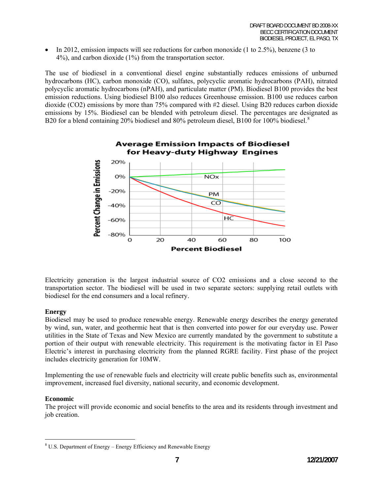• In 2012, emission impacts will see reductions for carbon monoxide (1 to 2.5%), benzene (3 to 4%), and carbon dioxide (1%) from the transportation sector.

The use of biodiesel in a conventional diesel engine substantially reduces emissions of unburned hydrocarbons (HC), carbon monoxide (CO), sulfates, polycyclic aromatic hydrocarbons (PAH), nitrated polycyclic aromatic hydrocarbons (nPAH), and particulate matter (PM). Biodiesel B100 provides the best emission reductions. Using biodiesel B100 also reduces Greenhouse emission. B100 use reduces carbon dioxide (CO2) emissions by more than 75% compared with #2 diesel. Using B20 reduces carbon dioxide emissions by 15%. Biodiesel can be blended with petroleum diesel. The percentages are designated as B20 for a blend containing 20% biodiesel and [8](#page-6-0)0% petroleum diesel, B100 for 100% biodiesel.<sup>8</sup>



Electricity generation is the largest industrial source of CO2 emissions and a close second to the transportation sector. The biodiesel will be used in two separate sectors: supplying retail outlets with biodiesel for the end consumers and a local refinery.

#### **Energy**

Biodiesel may be used to produce renewable energy. Renewable energy describes the energy generated by wind, sun, water, and geothermic heat that is then converted into power for our everyday use. Power utilities in the State of Texas and New Mexico are currently mandated by the government to substitute a portion of their output with renewable electricity. This requirement is the motivating factor in El Paso Electric's interest in purchasing electricity from the planned RGRE facility. First phase of the project includes electricity generation for 10MW.

Implementing the use of renewable fuels and electricity will create public benefits such as, environmental improvement, increased fuel diversity, national security, and economic development.

#### **Economic**

 $\overline{a}$ 

The project will provide economic and social benefits to the area and its residents through investment and job creation.

<span id="page-6-0"></span> $8$  U.S. Department of Energy – Energy Efficiency and Renewable Energy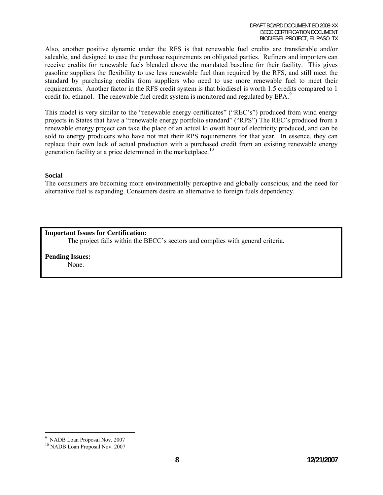Also, another positive dynamic under the RFS is that renewable fuel credits are transferable and/or saleable, and designed to ease the purchase requirements on obligated parties. Refiners and importers can receive credits for renewable fuels blended above the mandated baseline for their facility. This gives gasoline suppliers the flexibility to use less renewable fuel than required by the RFS, and still meet the standard by purchasing credits from suppliers who need to use more renewable fuel to meet their requirements. Another factor in the RFS credit system is that biodiesel is worth 1.5 credits compared to 1 credit for ethanol. The renewable fuel credit system is monitored and regulated by EPA.<sup>[9](#page-7-0)</sup>

This model is very similar to the "renewable energy certificates" ("REC's") produced from wind energy projects in States that have a "renewable energy portfolio standard" ("RPS") The REC's produced from a renewable energy project can take the place of an actual kilowatt hour of electricity produced, and can be sold to energy producers who have not met their RPS requirements for that year. In essence, they can replace their own lack of actual production with a purchased credit from an existing renewable energy generation facility at a price determined in the marketplace.<sup>[10](#page-7-1)</sup>

#### **Social**

The consumers are becoming more environmentally perceptive and globally conscious, and the need for alternative fuel is expanding. Consumers desire an alternative to foreign fuels dependency.

#### **Important Issues for Certification:**

The project falls within the BECC's sectors and complies with general criteria.

**Pending Issues:** None.

<span id="page-7-0"></span><sup>9</sup> NADB Loan Proposal Nov. 2007

<span id="page-7-1"></span><sup>10</sup> NADB Loan Proposal Nov. 2007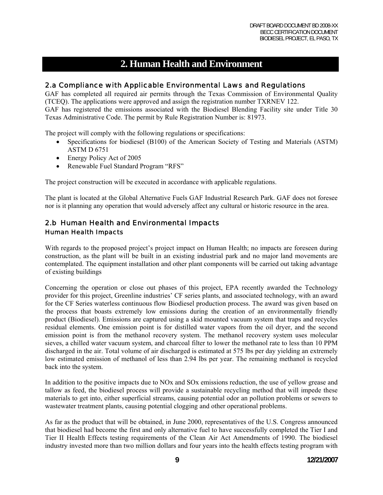## **2. Human Health and Environment**

## 2.a Compliance with Applicable Environmental Laws and Regulations

GAF has completed all required air permits through the Texas Commission of Environmental Quality (TCEQ). The applications were approved and assign the registration number TXRNEV 122.

GAF has registered the emissions associated with the Biodiesel Blending Facility site under Title 30 Texas Administrative Code. The permit by Rule Registration Number is: 81973.

The project will comply with the following regulations or specifications:

- Specifications for biodiesel (B100) of the American Society of Testing and Materials (ASTM) ASTM D 6751
- Energy Policy Act of 2005
- Renewable Fuel Standard Program "RFS"

The project construction will be executed in accordance with applicable regulations.

The plant is located at the Global Alternative Fuels GAF Industrial Research Park. GAF does not foresee nor is it planning any operation that would adversely affect any cultural or historic resource in the area.

## 2.b Human Health and Environmental Impacts Human Health Impacts

With regards to the proposed project's project impact on Human Health; no impacts are foreseen during construction, as the plant will be built in an existing industrial park and no major land movements are contemplated. The equipment installation and other plant components will be carried out taking advantage of existing buildings

Concerning the operation or close out phases of this project, EPA recently awarded the Technology provider for this project, Greenline industries' CF series plants, and associated technology, with an award for the CF Series waterless continuous flow Biodiesel production process. The award was given based on the process that boasts extremely low emissions during the creation of an environmentally friendly product (Biodiesel). Emissions are captured using a skid mounted vacuum system that traps and recycles residual elements. One emission point is for distilled water vapors from the oil dryer, and the second emission point is from the methanol recovery system. The methanol recovery system uses molecular sieves, a chilled water vacuum system, and charcoal filter to lower the methanol rate to less than 10 PPM discharged in the air. Total volume of air discharged is estimated at 575 lbs per day yielding an extremely low estimated emission of methanol of less than 2.94 lbs per year. The remaining methanol is recycled back into the system.

In addition to the positive impacts due to NOx and SOx emissions reduction, the use of yellow grease and tallow as feed, the biodiesel process will provide a sustainable recycling method that will impede these materials to get into, either superficial streams, causing potential odor an pollution problems or sewers to wastewater treatment plants, causing potential clogging and other operational problems.

As far as the product that will be obtained, in June 2000, representatives of the U.S. Congress announced that biodiesel had become the first and only alternative fuel to have successfully completed the Tier I and Tier II Health Effects testing requirements of the Clean Air Act Amendments of 1990. The biodiesel industry invested more than two million dollars and four years into the health effects testing program with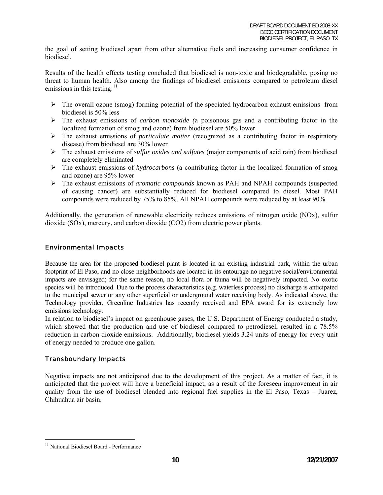the goal of setting biodiesel apart from other alternative fuels and increasing consumer confidence in biodiesel.

Results of the health effects testing concluded that biodiesel is non-toxic and biodegradable, posing no threat to human health. Also among the findings of biodiesel emissions compared to petroleum diesel emissions in this testing: $11$ 

- $\triangleright$  The overall ozone (smog) forming potential of the speciated hydrocarbon exhaust emissions from biodiesel is 50% less
- ¾ The exhaust emissions of *carbon monoxide (*a poisonous gas and a contributing factor in the localized formation of smog and ozone) from biodiesel are 50% lower
- ¾ The exhaust emissions of *particulate matter* (recognized as a contributing factor in respiratory disease) from biodiesel are 30% lower
- ¾ The exhaust emissions of *sulfur oxides and sulfates* (major components of acid rain) from biodiesel are completely eliminated
- ¾ The exhaust emissions of *hydrocarbons* (a contributing factor in the localized formation of smog and ozone) are 95% lower
- ¾ The exhaust emissions of *aromatic compounds* known as PAH and NPAH compounds (suspected of causing cancer) are substantially reduced for biodiesel compared to diesel. Most PAH compounds were reduced by 75% to 85%. All NPAH compounds were reduced by at least 90%.

Additionally, the generation of renewable electricity reduces emissions of nitrogen oxide (NOx), sulfur dioxide (SOx), mercury, and carbon dioxide (CO2) from electric power plants.

#### Environmental Impacts

Because the area for the proposed biodiesel plant is located in an existing industrial park, within the urban footprint of El Paso, and no close neighborhoods are located in its entourage no negative social/environmental impacts are envisaged; for the same reason, no local flora or fauna will be negatively impacted. No exotic species will be introduced. Due to the process characteristics (e.g. waterless process) no discharge is anticipated to the municipal sewer or any other superficial or underground water receiving body. As indicated above, the Technology provider, Greenline Industries has recently received and EPA award for its extremely low emissions technology.

In relation to biodiesel's impact on greenhouse gases, the U.S. Department of Energy conducted a study, which showed that the production and use of biodiesel compared to petrodiesel, resulted in a 78.5% reduction in carbon dioxide emissions. Additionally, biodiesel yields 3.24 units of energy for every unit of energy needed to produce one gallon.

#### Transboundary Impacts

Negative impacts are not anticipated due to the development of this project. As a matter of fact, it is anticipated that the project will have a beneficial impact, as a result of the foreseen improvement in air quality from the use of biodiesel blended into regional fuel supplies in the El Paso, Texas – Juarez, Chihuahua air basin.

<span id="page-9-0"></span><sup>&</sup>lt;sup>11</sup> National Biodiesel Board - Performance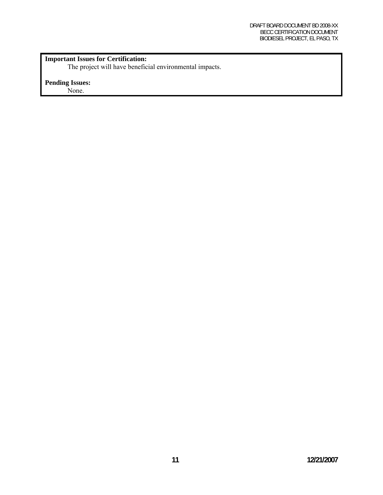## **Important Issues for Certification:**

The project will have beneficial environmental impacts.

## **Pending Issues:**

None.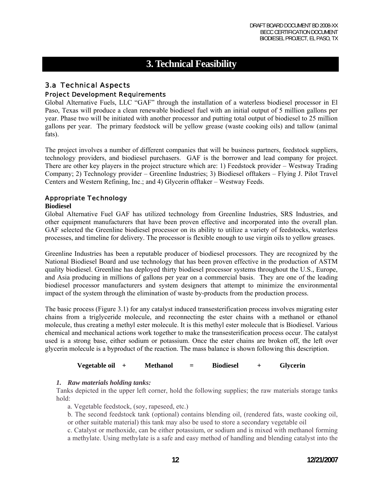# **3. Technical Feasibility**

## 3.a Technical Aspects

## Project Development Requirements

Global Alternative Fuels, LLC "GAF" through the installation of a waterless biodiesel processor in El Paso, Texas will produce a clean renewable biodiesel fuel with an initial output of 5 million gallons per year. Phase two will be initiated with another processor and putting total output of biodiesel to 25 million gallons per year. The primary feedstock will be yellow grease (waste cooking oils) and tallow (animal fats).

The project involves a number of different companies that will be business partners, feedstock suppliers, technology providers, and biodiesel purchasers. GAF is the borrower and lead company for project. There are other key players in the project structure which are: 1) Feedstock provider – Westway Trading Company; 2) Technology provider – Greenline Industries; 3) Biodiesel offtakers – Flying J. Pilot Travel Centers and Western Refining, Inc.; and 4) Glycerin offtaker – Westway Feeds.

## Appropriate Technology

#### **Biodiesel**

Global Alternative Fuel GAF has utilized technology from Greenline Industries, SRS Industries, and other equipment manufacturers that have been proven effective and incorporated into the overall plan. GAF selected the Greenline biodiesel processor on its ability to utilize a variety of feedstocks, waterless processes, and timeline for delivery. The processor is flexible enough to use virgin oils to yellow greases.

Greenline Industries has been a reputable producer of biodiesel processors. They are recognized by the National Biodiesel Board and use technology that has been proven effective in the production of ASTM quality biodiesel. Greenline has deployed thirty biodiesel processor systems throughout the U.S., Europe, and Asia producing in millions of gallons per year on a commercial basis. They are one of the leading biodiesel processor manufacturers and system designers that attempt to minimize the environmental impact of the system through the elimination of waste by-products from the production process.

The basic process (Figure 3.1) for any catalyst induced transesterification process involves migrating ester chains from a triglyceride molecule, and reconnecting the ester chains with a methanol or ethanol molecule, thus creating a methyl ester molecule. It is this methyl ester molecule that is Biodiesel. Various chemical and mechanical actions work together to make the transesterification process occur. The catalyst used is a strong base, either sodium or potassium. Once the ester chains are broken off, the left over glycerin molecule is a byproduct of the reaction. The mass balance is shown following this description.

#### **Vegetable oil + Methanol = Biodiesel + Glycerin**

#### *1. Raw materials holding tanks:*

Tanks depicted in the upper left corner, hold the following supplies; the raw materials storage tanks hold:

a. Vegetable feedstock, (soy, rapeseed, etc.)

b. The second feedstock tank (optional) contains blending oil, (rendered fats, waste cooking oil, or other suitable material) this tank may also be used to store a secondary vegetable oil

c. Catalyst or methoxide, can be either potassium, or sodium and is mixed with methanol forming a methylate. Using methylate is a safe and easy method of handling and blending catalyst into the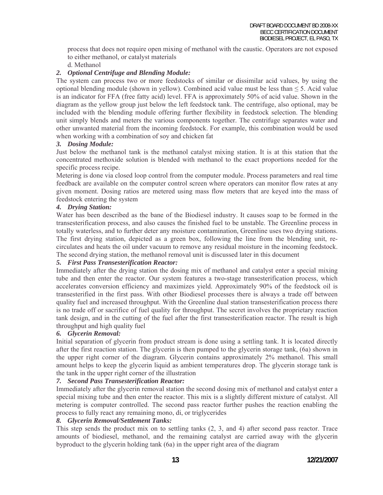process that does not require open mixing of methanol with the caustic. Operators are not exposed to either methanol, or catalyst materials

d. Methanol

#### *2. Optional Centrifuge and Blending Module:*

The system can process two or more feedstocks of similar or dissimilar acid values, by using the optional blending module (shown in yellow). Combined acid value must be less than  $\leq$  5. Acid value is an indicator for FFA (free fatty acid) level. FFA is approximately 50% of acid value. Shown in the diagram as the yellow group just below the left feedstock tank. The centrifuge, also optional, may be included with the blending module offering further flexibility in feedstock selection. The blending unit simply blends and meters the various components together. The centrifuge separates water and other unwanted material from the incoming feedstock. For example, this combination would be used when working with a combination of soy and chicken fat

#### *3. Dosing Module:*

Just below the methanol tank is the methanol catalyst mixing station. It is at this station that the concentrated methoxide solution is blended with methanol to the exact proportions needed for the specific process recipe.

Metering is done via closed loop control from the computer module. Process parameters and real time feedback are available on the computer control screen where operators can monitor flow rates at any given moment. Dosing ratios are metered using mass flow meters that are keyed into the mass of feedstock entering the system

### *4. Drying Station:*

Water has been described as the bane of the Biodiesel industry. It causes soap to be formed in the transesterification process, and also causes the finished fuel to be unstable. The Greenline process in totally waterless, and to further deter any moisture contamination, Greenline uses two drying stations. The first drying station, depicted as a green box, following the line from the blending unit, recirculates and heats the oil under vacuum to remove any residual moisture in the incoming feedstock. The second drying station, the methanol removal unit is discussed later in this document

#### *5. First Pass Transesterification Reactor:*

Immediately after the drying station the dosing mix of methanol and catalyst enter a special mixing tube and then enter the reactor. Our system features a two-stage transesterification process, which accelerates conversion efficiency and maximizes yield. Approximately 90% of the feedstock oil is transesterified in the first pass. With other Biodiesel processes there is always a trade off between quality fuel and increased throughput. With the Greenline dual station transesterification process there is no trade off or sacrifice of fuel quality for throughput. The secret involves the proprietary reaction tank design, and in the cutting of the fuel after the first transesterification reactor. The result is high throughput and high quality fuel

#### *6. Glycerin Removal:*

Initial separation of glycerin from product stream is done using a settling tank. It is located directly after the first reaction station. The glycerin is then pumped to the glycerin storage tank, (6a) shown in the upper right corner of the diagram. Glycerin contains approximately 2% methanol. This small amount helps to keep the glycerin liquid as ambient temperatures drop. The glycerin storage tank is the tank in the upper right corner of the illustration

#### *7. Second Pass Transesterification Reactor:*

Immediately after the glycerin removal station the second dosing mix of methanol and catalyst enter a special mixing tube and then enter the reactor. This mix is a slightly different mixture of catalyst. All metering is computer controlled. The second pass reactor further pushes the reaction enabling the process to fully react any remaining mono, di, or triglycerides

#### *8. Glycerin Removal/Settlement Tanks:*

This step sends the product mix on to settling tanks (2, 3, and 4) after second pass reactor. Trace amounts of biodiesel, methanol, and the remaining catalyst are carried away with the glycerin byproduct to the glycerin holding tank (6a) in the upper right area of the diagram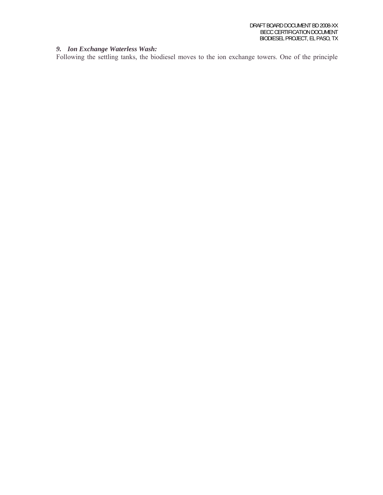#### *9. Ion Exchange Waterless Wash:*

Following the settling tanks, the biodiesel moves to the ion exchange towers. One of the principle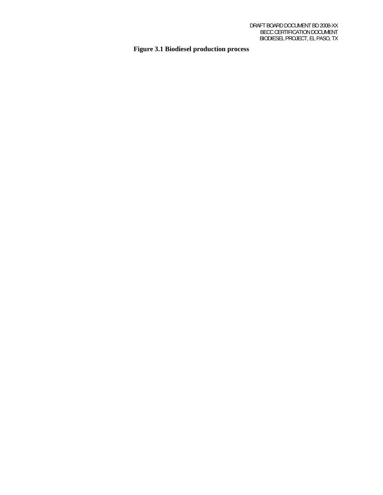## **Figure 3.1 Biodiesel production process**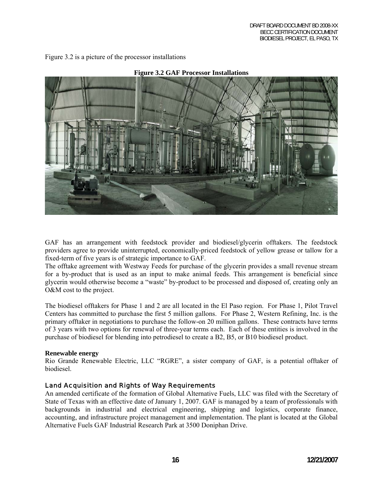Figure 3.2 is a picture of the processor installations





GAF has an arrangement with feedstock provider and biodiesel/glycerin offtakers. The feedstock providers agree to provide uninterrupted, economically-priced feedstock of yellow grease or tallow for a fixed-term of five years is of strategic importance to GAF.

The offtake agreement with Westway Feeds for purchase of the glycerin provides a small revenue stream for a by-product that is used as an input to make animal feeds. This arrangement is beneficial since glycerin would otherwise become a "waste" by-product to be processed and disposed of, creating only an O&M cost to the project.

The biodiesel offtakers for Phase 1 and 2 are all located in the El Paso region. For Phase 1, Pilot Travel Centers has committed to purchase the first 5 million gallons. For Phase 2, Western Refining, Inc. is the primary offtaker in negotiations to purchase the follow-on 20 million gallons. These contracts have terms of 3 years with two options for renewal of three-year terms each. Each of these entities is involved in the purchase of biodiesel for blending into petrodiesel to create a B2, B5, or B10 biodiesel product.

#### **Renewable energy**

Rio Grande Renewable Electric, LLC "RGRE", a sister company of GAF, is a potential offtaker of biodiesel.

## Land Acquisition and Rights of Way Requirements

An amended certificate of the formation of Global Alternative Fuels, LLC was filed with the Secretary of State of Texas with an effective date of January 1, 2007. GAF is managed by a team of professionals with backgrounds in industrial and electrical engineering, shipping and logistics, corporate finance, accounting, and infrastructure project management and implementation. The plant is located at the Global Alternative Fuels GAF Industrial Research Park at 3500 Doniphan Drive.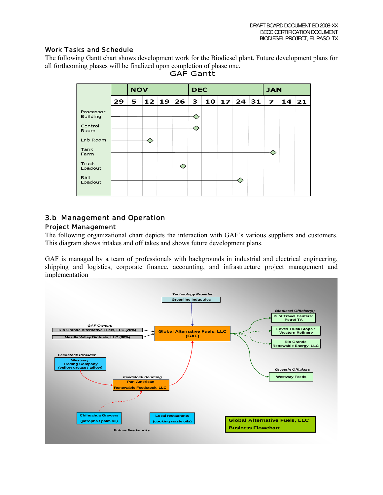#### Work Tasks and Schedule

The following Gantt chart shows development work for the Biodiesel plant. Future development plans for all forthcoming phases will be finalized upon completion of phase one.<br>GAF Gantt



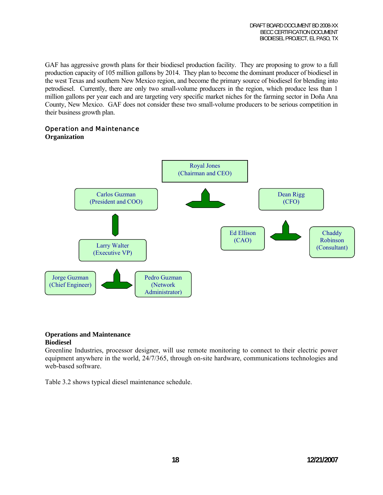GAF has aggressive growth plans for their biodiesel production facility. They are proposing to grow to a full production capacity of 105 million gallons by 2014. They plan to become the dominant producer of biodiesel in the west Texas and southern New Mexico region, and become the primary source of biodiesel for blending into petrodiesel. Currently, there are only two small-volume producers in the region, which produce less than 1 million gallons per year each and are targeting very specific market niches for the farming sector in Doña Ana County, New Mexico. GAF does not consider these two small-volume producers to be serious competition in their business growth plan.

### Operation and Maintenance

#### **Organization**



#### **Operations and Maintenance Biodiesel**

Greenline Industries, processor designer, will use remote monitoring to connect to their electric power equipment anywhere in the world, 24/7/365, through on-site hardware, communications technologies and web-based software.

Table 3.2 shows typical diesel maintenance schedule.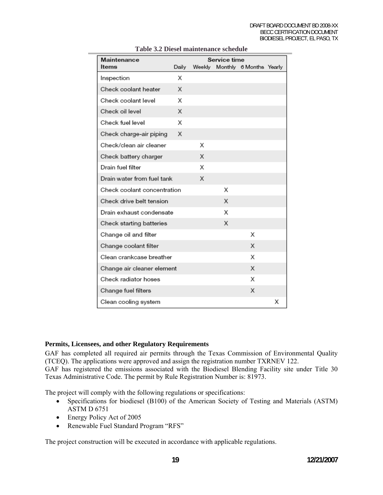| Service time<br>Maintenance |       |   |   |                                |   |
|-----------------------------|-------|---|---|--------------------------------|---|
| Items                       | Daily |   |   | Weekly Monthly 6 Months Yearly |   |
| Inspection                  | Х     |   |   |                                |   |
| Check coolant heater        | X     |   |   |                                |   |
| Check coolant level         | Х     |   |   |                                |   |
| Check oil level             | X     |   |   |                                |   |
| Check fuel level            | X     |   |   |                                |   |
| Check charge-air piping     | X     |   |   |                                |   |
| Check/clean air cleaner     |       | Χ |   |                                |   |
| Check battery charger       |       | X |   |                                |   |
| Drain fuel filter           |       | Х |   |                                |   |
| Drain water from fuel tank  |       | X |   |                                |   |
| Check coolant concentration |       |   | Х |                                |   |
| Check drive belt tension    |       |   | X |                                |   |
| Drain exhaust condensate    |       |   | X |                                |   |
| Check starting batteries    |       |   | Х |                                |   |
| Change oil and filter       |       |   |   | X                              |   |
| Change coolant filter       |       |   |   | X                              |   |
| Clean crankcase breather    |       |   |   | X                              |   |
| Change air cleaner element  |       |   |   | X                              |   |
| Check radiator hoses        |       |   |   | Х                              |   |
| Change fuel filters         |       |   |   | X                              |   |
| Clean cooling system        |       |   |   |                                | х |

#### **Table 3.2 Diesel maintenance schedule**

#### **Permits, Licensees, and other Regulatory Requirements**

GAF has completed all required air permits through the Texas Commission of Environmental Quality (TCEQ). The applications were approved and assign the registration number TXRNEV 122.

GAF has registered the emissions associated with the Biodiesel Blending Facility site under Title 30 Texas Administrative Code. The permit by Rule Registration Number is: 81973.

The project will comply with the following regulations or specifications:

- Specifications for biodiesel (B100) of the American Society of Testing and Materials (ASTM) ASTM D 6751
- Energy Policy Act of 2005
- Renewable Fuel Standard Program "RFS"

The project construction will be executed in accordance with applicable regulations.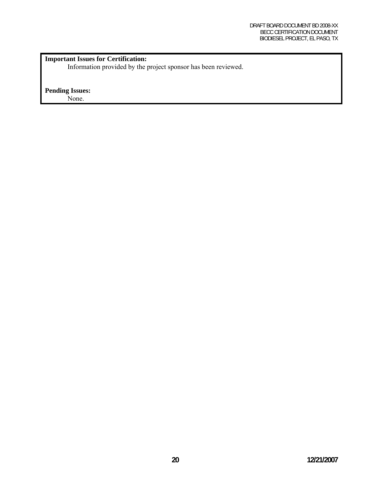## **Important Issues for Certification:**

Information provided by the project sponsor has been reviewed.

#### **Pending Issues:**

None.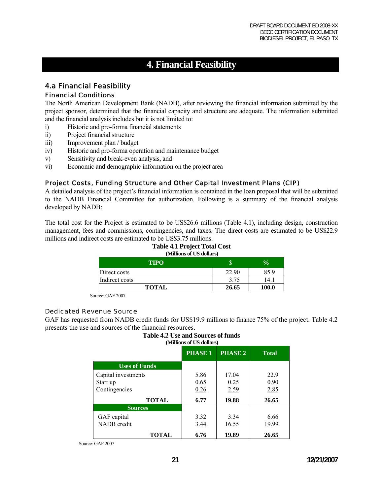# **4. Financial Feasibility**

## 4.a Financial Feasibility

### Financial Conditions

The North American Development Bank (NADB), after reviewing the financial information submitted by the project sponsor, determined that the financial capacity and structure are adequate. The information submitted and the financial analysis includes but it is not limited to:

- i) Historic and pro-forma financial statements
- ii) Project financial structure
- iii) Improvement plan / budget
- iv) Historic and pro-forma operation and maintenance budget
- v) Sensitivity and break-even analysis, and
- vi) Economic and demographic information on the project area

#### Project Costs, Funding Structure and Other Capital Investment Plans (CIP)

A detailed analysis of the project's financial information is contained in the loan proposal that will be submitted to the NADB Financial Committee for authorization. Following is a summary of the financial analysis developed by NADB:

The total cost for the Project is estimated to be US\$26.6 millions (Table 4.1), including design, construction management, fees and commissions, contingencies, and taxes. The direct costs are estimated to be US\$22.9 millions and indirect costs are estimated to be US\$3.75 millions.

#### **Table 4.1 Project Total Cost (Millions of US dollars)**

| <b>TIPO</b>    | w     | $\frac{1}{2}$ |
|----------------|-------|---------------|
| Direct costs   | 22.90 | 85.9          |
| Indirect costs | 3.75  | 14.1          |
| <b>TOTAL</b>   | 26.65 | 100.0         |

Source: GAF 2007

#### Dedicated Revenue Source

GAF has requested from NADB credit funds for US\$19.9 millions to finance 75% of the project. Table 4.2 presents the use and sources of the financial resources.

#### **Table 4.2 Use and Sources of funds (Millions of US dollars)**

|                      | <b>PHASE 1</b> | <b>PHASE 2</b> | <b>Total</b> |  |
|----------------------|----------------|----------------|--------------|--|
| <b>Uses of Funds</b> |                |                |              |  |
| Capital investments  | 5.86           | 17.04          | 22.9         |  |
| Start up             | 0.65           | 0.25           | 0.90         |  |
| Contingencies        | 0.26           | 2.59           | 2.85         |  |
| <b>TOTAL</b>         | 6.77           | 19.88          | 26.65        |  |
| <b>Sources</b>       |                |                |              |  |
| GAF capital          | 3.32           | 3.34           | 6.66         |  |
| NADB credit          | 3.44           | 16.55          | 19.99        |  |
| <b>TOTAL</b>         | 6.76           | 19.89          | 26.65        |  |

Source: GAF 2007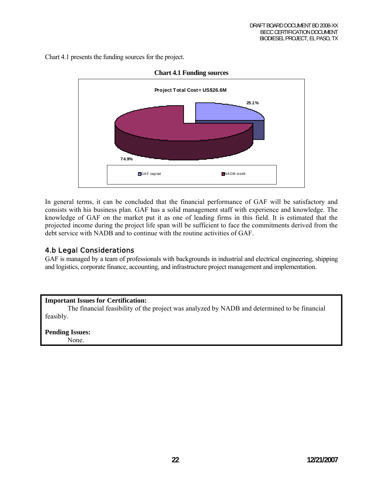Chart 4.1 presents the funding sources for the project.



#### **Chart 4.1 Funding sources**

In general terms, it can be concluded that the financial performance of GAF will be satisfactory and consists with his business plan. GAF has a solid management staff with experience and knowledge. The knowledge of GAF on the market put it as one of leading firms in this field. It is estimated that the projected income during the project life span will be sufficient to face the commitments derived from the debt service with NADB and to continue with the routine activities of GAF.

## 4.b Legal Considerations

GAF is managed by a team of professionals with backgrounds in industrial and electrical engineering, shipping and logistics, corporate finance, accounting, and infrastructure project management and implementation.

#### **Important Issues for Certification:**

The financial feasibility of the project was analyzed by NADB and determined to be financial feasibly.

**Pending Issues:** None.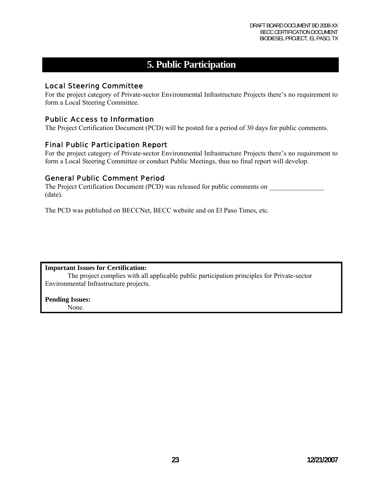# **5. Public Participation**

## Local Steering Committee

For the project category of Private-sector Environmental Infrastructure Projects there's no requirement to form a Local Steering Committee.

### Public Access to Information

The Project Certification Document (PCD) will be posted for a period of 30 days for public comments.

### Final Public Participation Report

For the project category of Private-sector Environmental Infrastructure Projects there's no requirement to form a Local Steering Committee or conduct Public Meetings, thus no final report will develop.

#### General Public Comment Period

The Project Certification Document (PCD) was released for public comments on (date).

The PCD was published on BECCNet, BECC website and on El Paso Times, etc.

#### **Important Issues for Certification:**

The project complies with all applicable public participation principles for Private-sector Environmental Infrastructure projects.

**Pending Issues:** None.